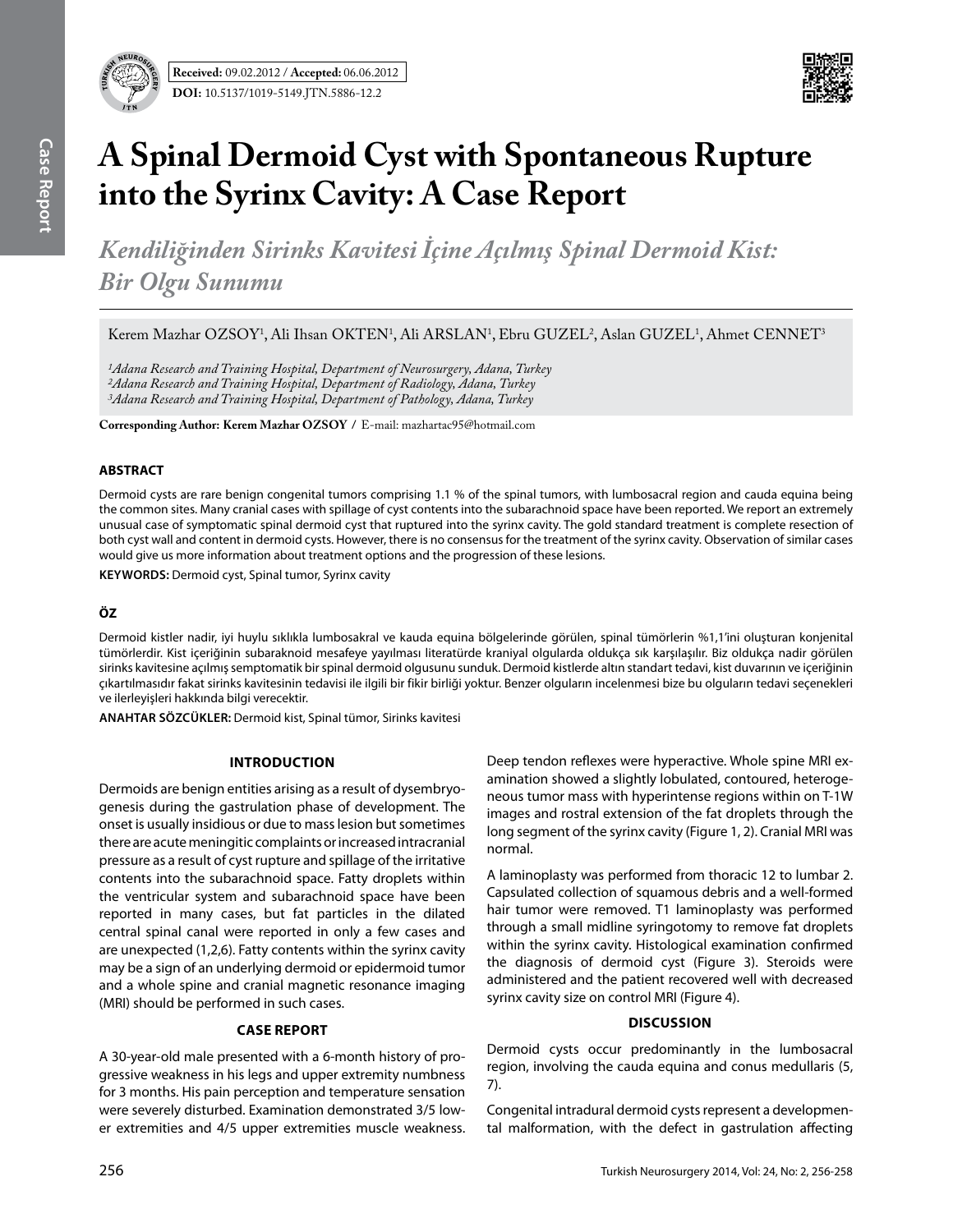

# **A Spinal Dermoid Cyst with Spontaneous Rupture into the Syrinx Cavity: A Case Report**

*Kendiliğinden Sirinks Kavitesi İçine Açılmış Spinal Dermoid Kist: Bir Olgu Sunumu* 

Kerem Mazhar OZSOY<sup>1</sup>, Ali Ihsan OKTEN<sup>1</sup>, Ali ARSLAN<sup>1</sup>, Ebru GUZEL<sup>2</sup>, Aslan GUZEL<sup>1</sup>, Ahmet CENNET<sup>3</sup>

*1Adana Research and Training Hospital, Department of Neurosurgery, Adana, Turkey 2Adana Research and Training Hospital, Department of Radiology, Adana, Turkey 3Adana Research and Training Hospital, Department of Pathology, Adana, Turkey*

**Corresponding Author: Kerem Mazhar Ozsoy /** E-mail: mazhartac95@hotmail.com

### **ABSTRACT**

Dermoid cysts are rare benign congenital tumors comprising 1.1 % of the spinal tumors, with lumbosacral region and cauda equina being the common sites. Many cranial cases with spillage of cyst contents into the subarachnoid space have been reported. We report an extremely unusual case of symptomatic spinal dermoid cyst that ruptured into the syrinx cavity. The gold standard treatment is complete resection of both cyst wall and content in dermoid cysts. However, there is no consensus for the treatment of the syrinx cavity. Observation of similar cases would give us more information about treatment options and the progression of these lesions.

**Keywords:** Dermoid cyst, Spinal tumor, Syrinx cavity

## **ÖZ**

Dermoid kistler nadir, iyi huylu sıklıkla lumbosakral ve kauda equina bölgelerinde görülen, spinal tümörlerin %1,1'ini oluşturan konjenital tümörlerdir. Kist içeriğinin subaraknoid mesafeye yayılması literatürde kraniyal olgularda oldukça sık karşılaşılır. Biz oldukça nadir görülen sirinks kavitesine açılmış semptomatik bir spinal dermoid olgusunu sunduk. Dermoid kistlerde altın standart tedavi, kist duvarının ve içeriğinin çıkartılmasıdır fakat sirinks kavitesinin tedavisi ile ilgili bir fikir birliği yoktur. Benzer olguların incelenmesi bize bu olguların tedavi seçenekleri ve ilerleyişleri hakkında bilgi verecektir.

**ANAHTAR SÖZCÜKLER:** Dermoid kist, Spinal tümor, Sirinks kavitesi

#### **Introduction**

Dermoids are benign entities arising as a result of dysembryogenesis during the gastrulation phase of development. The onset is usually insidious or due to mass lesion but sometimes there are acute meningitic complaints or increased intracranial pressure as a result of cyst rupture and spillage of the irritative contents into the subarachnoid space. Fatty droplets within the ventricular system and subarachnoid space have been reported in many cases, but fat particles in the dilated central spinal canal were reported in only a few cases and are unexpected (1,2,6). Fatty contents within the syrinx cavity may be a sign of an underlying dermoid or epidermoid tumor and a whole spine and cranial magnetic resonance imaging (MRI) should be performed in such cases.

## **Case Report**

A 30-year-old male presented with a 6-month history of progressive weakness in his legs and upper extremity numbness for 3 months. His pain perception and temperature sensation were severely disturbed. Examination demonstrated 3/5 lower extremities and 4/5 upper extremities muscle weakness. Deep tendon reflexes were hyperactive. Whole spine MRI examination showed a slightly lobulated, contoured, heterogeneous tumor mass with hyperintense regions within on T-1W images and rostral extension of the fat droplets through the long segment of the syrinx cavity (Figure 1, 2). Cranial MRI was normal.

A laminoplasty was performed from thoracic 12 to lumbar 2. Capsulated collection of squamous debris and a well-formed hair tumor were removed. T1 laminoplasty was performed through a small midline syringotomy to remove fat droplets within the syrinx cavity. Histological examination confirmed the diagnosis of dermoid cyst (Figure 3). Steroids were administered and the patient recovered well with decreased syrinx cavity size on control MRI (Figure 4).

#### **Discussion**

Dermoid cysts occur predominantly in the lumbosacral region, involving the cauda equina and conus medullaris (5, 7).

Congenital intradural dermoid cysts represent a developmental malformation, with the defect in gastrulation affecting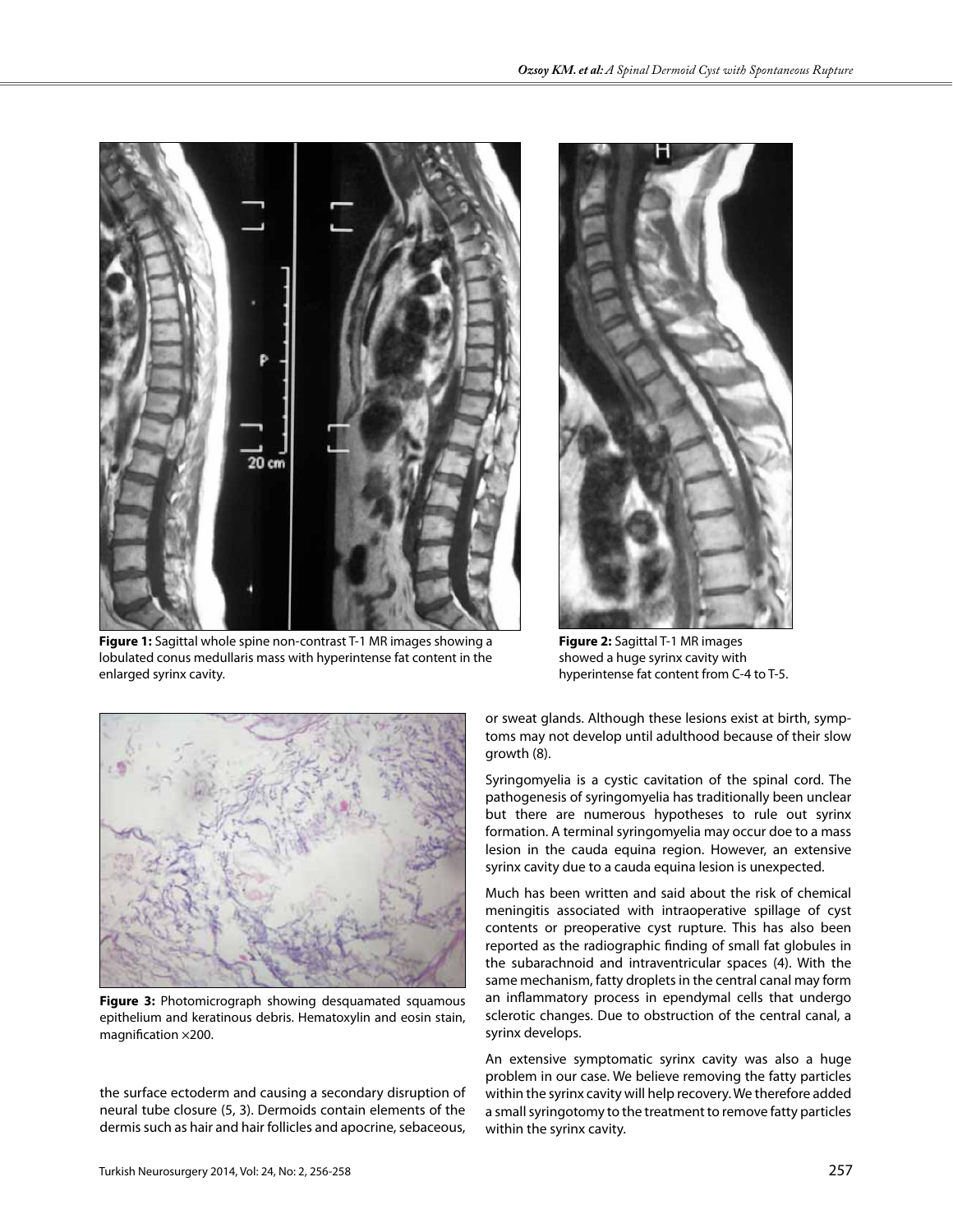

**Figure 1:** Sagittal whole spine non-contrast T-1 MR images showing a lobulated conus medullaris mass with hyperintense fat content in the enlarged syrinx cavity.



**Figure 2:** Sagittal T-1 MR images showed a huge syrinx cavity with hyperintense fat content from C-4 to T-5.



**Figure 3:** Photomicrograph showing desquamated squamous epithelium and keratinous debris. Hematoxylin and eosin stain, magnification ×200.

the surface ectoderm and causing a secondary disruption of neural tube closure (5, 3). Dermoids contain elements of the dermis such as hair and hair follicles and apocrine, sebaceous,

or sweat glands. Although these lesions exist at birth, symptoms may not develop until adulthood because of their slow growth (8).

Syringomyelia is a cystic cavitation of the spinal cord. The pathogenesis of syringomyelia has traditionally been unclear but there are numerous hypotheses to rule out syrinx formation. A terminal syringomyelia may occur doe to a mass lesion in the cauda equina region. However, an extensive syrinx cavity due to a cauda equina lesion is unexpected.

Much has been written and said about the risk of chemical meningitis associated with intraoperative spillage of cyst contents or preoperative cyst rupture. This has also been reported as the radiographic finding of small fat globules in the subarachnoid and intraventricular spaces (4). With the same mechanism, fatty droplets in the central canal may form an inflammatory process in ependymal cells that undergo sclerotic changes. Due to obstruction of the central canal, a syrinx develops.

An extensive symptomatic syrinx cavity was also a huge problem in our case. We believe removing the fatty particles within the syrinx cavity will help recovery. We therefore added a small syringotomy to the treatment to remove fatty particles within the syrinx cavity.